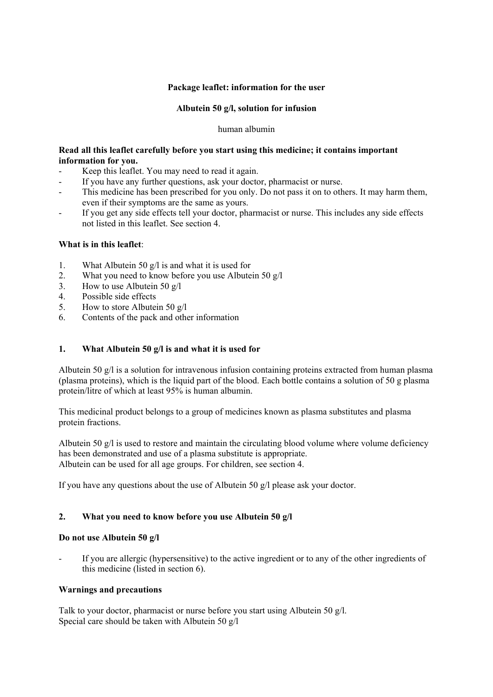# **Package leaflet: information for the user**

## **Albutein 50 g/l, solution for infusion**

#### human albumin

# **Read all this leaflet carefully before you start using this medicine; it contains important information for you.**

- Keep this leaflet. You may need to read it again.
- If you have any further questions, ask your doctor, pharmacist or nurse.
- This medicine has been prescribed for you only. Do not pass it on to others. It may harm them, even if their symptoms are the same as yours.
- If you get any side effects tell your doctor, pharmacist or nurse. This includes any side effects not listed in this leaflet. See section 4.

## **What is in this leaflet**:

- 1. What Albutein 50 g/l is and what it is used for
- 2. What you need to know before you use Albutein 50 g/l
- 3. How to use Albutein 50 g/l
- 4. Possible side effects
- 5. How to store Albutein 50 g/l
- 6. Contents of the pack and other information

# **1. What Albutein 50 g/l is and what it is used for**

Albutein 50 g/l is a solution for intravenous infusion containing proteins extracted from human plasma (plasma proteins), which is the liquid part of the blood. Each bottle contains a solution of 50 g plasma protein/litre of which at least 95% is human albumin.

This medicinal product belongs to a group of medicines known as plasma substitutes and plasma protein fractions.

Albutein 50  $g/l$  is used to restore and maintain the circulating blood volume where volume deficiency has been demonstrated and use of a plasma substitute is appropriate. Albutein can be used for all age groups. For children, see section 4.

If you have any questions about the use of Albutein 50 g/l please ask your doctor.

## **2. What you need to know before you use Albutein 50 g/l**

## **Do not use Albutein 50 g/l**

If you are allergic (hypersensitive) to the active ingredient or to any of the other ingredients of this medicine (listed in section 6).

## **Warnings and precautions**

Talk to your doctor, pharmacist or nurse before you start using Albutein 50 g/l. Special care should be taken with Albutein 50 g/l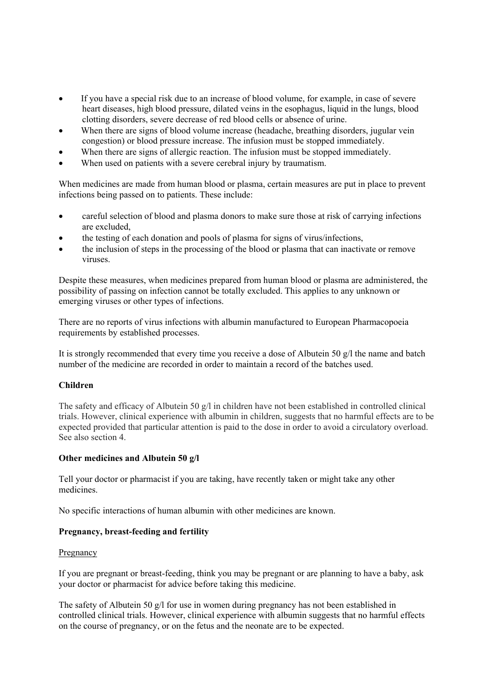- If you have a special risk due to an increase of blood volume, for example, in case of severe heart diseases, high blood pressure, dilated veins in the esophagus, liquid in the lungs, blood clotting disorders, severe decrease of red blood cells or absence of urine.
- When there are signs of blood volume increase (headache, breathing disorders, jugular vein congestion) or blood pressure increase. The infusion must be stopped immediately.
- When there are signs of allergic reaction. The infusion must be stopped immediately.
- When used on patients with a severe cerebral injury by traumatism.

When medicines are made from human blood or plasma, certain measures are put in place to prevent infections being passed on to patients. These include:

- careful selection of blood and plasma donors to make sure those at risk of carrying infections are excluded,
- the testing of each donation and pools of plasma for signs of virus/infections,
- the inclusion of steps in the processing of the blood or plasma that can inactivate or remove viruses.

Despite these measures, when medicines prepared from human blood or plasma are administered, the possibility of passing on infection cannot be totally excluded. This applies to any unknown or emerging viruses or other types of infections.

There are no reports of virus infections with albumin manufactured to European Pharmacopoeia requirements by established processes.

It is strongly recommended that every time you receive a dose of Albutein 50 g/l the name and batch number of the medicine are recorded in order to maintain a record of the batches used.

## **Children**

The safety and efficacy of Albutein 50 g/l in children have not been established in controlled clinical trials. However, clinical experience with albumin in children, suggests that no harmful effects are to be expected provided that particular attention is paid to the dose in order to avoid a circulatory overload. See also section 4.

## **Other medicines and Albutein 50 g/l**

Tell your doctor or pharmacist if you are taking, have recently taken or might take any other medicines.

No specific interactions of human albumin with other medicines are known.

## **Pregnancy, breast-feeding and fertility**

## **Pregnancy**

If you are pregnant or breast-feeding, think you may be pregnant or are planning to have a baby, ask your doctor or pharmacist for advice before taking this medicine.

The safety of Albutein 50 g/l for use in women during pregnancy has not been established in controlled clinical trials. However, clinical experience with albumin suggests that no harmful effects on the course of pregnancy, or on the fetus and the neonate are to be expected.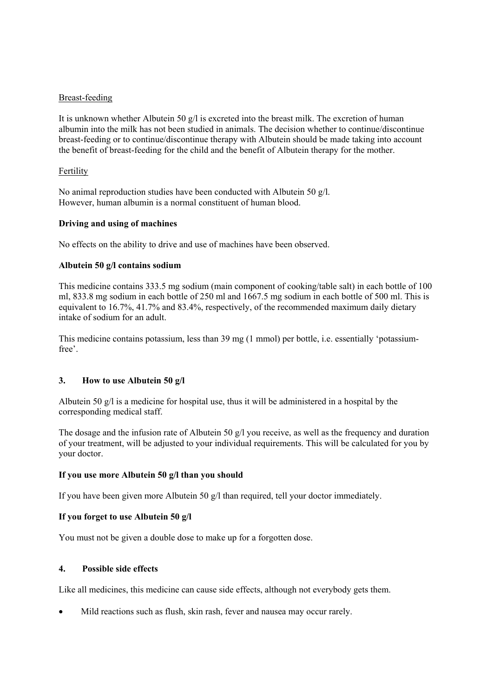## Breast-feeding

It is unknown whether Albutein 50  $g/l$  is excreted into the breast milk. The excretion of human albumin into the milk has not been studied in animals. The decision whether to continue/discontinue breast-feeding or to continue/discontinue therapy with Albutein should be made taking into account the benefit of breast-feeding for the child and the benefit of Albutein therapy for the mother.

#### Fertility

No animal reproduction studies have been conducted with Albutein 50 g/l. However, human albumin is a normal constituent of human blood.

#### **Driving and using of machines**

No effects on the ability to drive and use of machines have been observed.

#### **Albutein 50 g/l contains sodium**

This medicine contains 333.5 mg sodium (main component of cooking/table salt) in each bottle of 100 ml, 833.8 mg sodium in each bottle of 250 ml and 1667.5 mg sodium in each bottle of 500 ml. This is equivalent to 16.7%, 41.7% and 83.4%, respectively, of the recommended maximum daily dietary intake of sodium for an adult.

This medicine contains potassium, less than 39 mg (1 mmol) per bottle, i.e. essentially 'potassiumfree'.

## **3. How to use Albutein 50 g/l**

Albutein 50 g/l is a medicine for hospital use, thus it will be administered in a hospital by the corresponding medical staff.

The dosage and the infusion rate of Albutein 50 g/l you receive, as well as the frequency and duration of your treatment, will be adjusted to your individual requirements. This will be calculated for you by your doctor.

## **If you use more Albutein 50 g/l than you should**

If you have been given more Albutein 50 g/l than required, tell your doctor immediately.

## **If you forget to use Albutein 50 g/l**

You must not be given a double dose to make up for a forgotten dose.

#### **4. Possible side effects**

Like all medicines, this medicine can cause side effects, although not everybody gets them.

Mild reactions such as flush, skin rash, fever and nausea may occur rarely.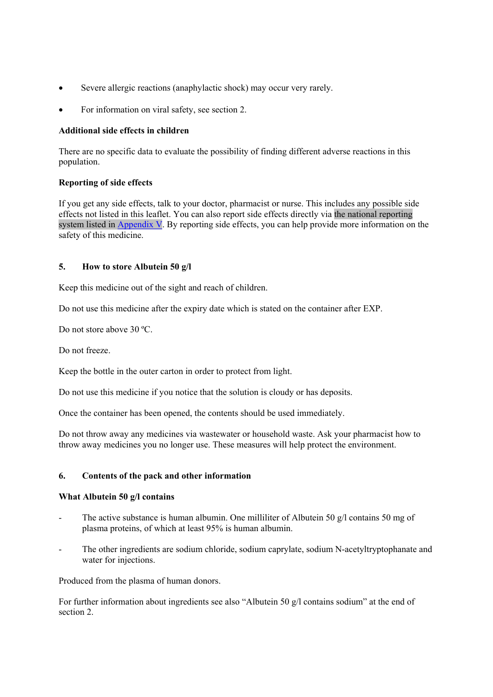- Severe allergic reactions (anaphylactic shock) may occur very rarely.
- For information on viral safety, see section 2.

# **Additional side effects in children**

There are no specific data to evaluate the possibility of finding different adverse reactions in this population.

# **Reporting of side effects**

If you get any side effects, talk to your doctor, pharmacist or nurse. This includes any possible side effects not listed in this leaflet. You can also report side effects directly via the national reporting system listed in Appendix V. By reporting side effects, you can help provide more information on the safety of this medicine.

# **5. How to store Albutein 50 g/l**

Keep this medicine out of the sight and reach of children.

Do not use this medicine after the expiry date which is stated on the container after EXP.

Do not store above 30 ºC.

Do not freeze.

Keep the bottle in the outer carton in order to protect from light.

Do not use this medicine if you notice that the solution is cloudy or has deposits.

Once the container has been opened, the contents should be used immediately.

Do not throw away any medicines via wastewater or household waste. Ask your pharmacist how to throw away medicines you no longer use. These measures will help protect the environment.

# **6. Contents of the pack and other information**

## **What Albutein 50 g/l contains**

- The active substance is human albumin. One milliliter of Albutein 50  $g/l$  contains 50 mg of plasma proteins, of which at least 95% is human albumin.
- The other ingredients are sodium chloride, sodium caprylate, sodium N-acetyltryptophanate and water for injections.

Produced from the plasma of human donors.

For further information about ingredients see also "Albutein 50 g/l contains sodium" at the end of section 2.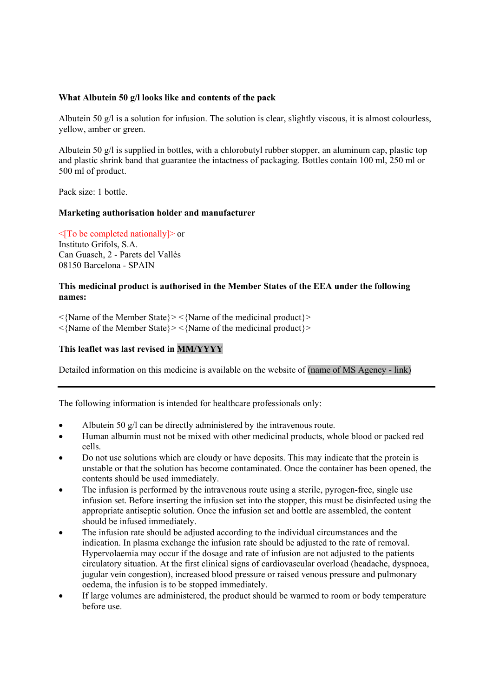# **What Albutein 50 g/l looks like and contents of the pack**

Albutein 50 g/l is a solution for infusion. The solution is clear, slightly viscous, it is almost colourless, yellow, amber or green.

Albutein 50  $g/l$  is supplied in bottles, with a chlorobutyl rubber stopper, an aluminum cap, plastic top and plastic shrink band that guarantee the intactness of packaging. Bottles contain 100 ml, 250 ml or 500 ml of product.

Pack size: 1 bottle.

## **Marketing authorisation holder and manufacturer**

<[To be completed nationally]> or Instituto Grifols, S.A. Can Guasch, 2 - Parets del Vallès 08150 Barcelona - SPAIN

## **This medicinal product is authorised in the Member States of the EEA under the following names:**

<{Name of the Member State}> <{Name of the medicinal product}> <{Name of the Member State}> <{Name of the medicinal product}>

## **This leaflet was last revised in MM/YYYY**

Detailed information on this medicine is available on the website of (name of MS Agency - link)

The following information is intended for healthcare professionals only:

- Albutein 50 g/l can be directly administered by the intravenous route.
- Human albumin must not be mixed with other medicinal products, whole blood or packed red cells.
- Do not use solutions which are cloudy or have deposits. This may indicate that the protein is unstable or that the solution has become contaminated. Once the container has been opened, the contents should be used immediately.
- The infusion is performed by the intravenous route using a sterile, pyrogen-free, single use infusion set. Before inserting the infusion set into the stopper, this must be disinfected using the appropriate antiseptic solution. Once the infusion set and bottle are assembled, the content should be infused immediately.
- The infusion rate should be adjusted according to the individual circumstances and the indication. In plasma exchange the infusion rate should be adjusted to the rate of removal. Hypervolaemia may occur if the dosage and rate of infusion are not adjusted to the patients circulatory situation. At the first clinical signs of cardiovascular overload (headache, dyspnoea, jugular vein congestion), increased blood pressure or raised venous pressure and pulmonary oedema, the infusion is to be stopped immediately.
- If large volumes are administered, the product should be warmed to room or body temperature before use.